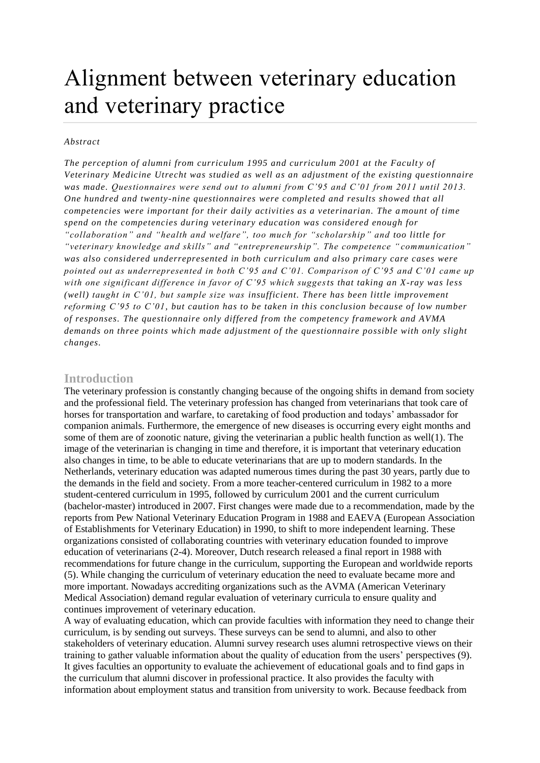# Alignment between veterinary education and veterinary practice

#### *Abstract*

*The perception of alumni from curriculum 1995 and curriculum 2001 at the Facult y of Veterinary Medicine Utrecht was studied as well as an adjustment of the existing questionnaire was made. Questionnaires were send out to alumni from C'95 and C'01 from 2011 until 2013. One hundred and twenty-nine questionnaires were completed and results showed that all competencies were important for their daily activities as a veterinarian. The a mount of time spend on the competencies during veterinary education was considered enough for "collaboration" and "health and welfare", too much for "scholarship" and too little for "veterinary knowledge and skills" and "entrepreneurship". The competence " communication" was also considered underrepresented in both curriculum and also primary care cases were pointed out as underrepresented in both C'95 and C'01. Comparison of C'95 and C'01 came up with one significant difference in favor of C'95 which suggests that taking an X-ray was less (well) taught in C'01, but sample size was insufficient. There has been little improvement reforming C'95 to C'01, but caution has to be taken in this conclusion because of low number of responses. The questionnaire only differed from the competency framework and AVMA demands on three points which made adjustment of the questionnaire possible with only slight changes.*

#### **Introduction**

The veterinary profession is constantly changing because of the ongoing shifts in demand from society and the professional field. The veterinary profession has changed from veterinarians that took care of horses for transportation and warfare, to caretaking of food production and todays' ambassador for companion animals. Furthermore, the emergence of new diseases is occurring every eight months and some of them are of zoonotic nature, giving the veterinarian a public health function as well(1). The image of the veterinarian is changing in time and therefore, it is important that veterinary education also changes in time, to be able to educate veterinarians that are up to modern standards. In the Netherlands, veterinary education was adapted numerous times during the past 30 years, partly due to the demands in the field and society. From a more teacher-centered curriculum in 1982 to a more student-centered curriculum in 1995, followed by curriculum 2001 and the current curriculum (bachelor-master) introduced in 2007. First changes were made due to a recommendation, made by the reports from Pew National Veterinary Education Program in 1988 and EAEVA (European Association of Establishments for Veterinary Education) in 1990, to shift to more independent learning. These organizations consisted of collaborating countries with veterinary education founded to improve education of veterinarians (2-4). Moreover, Dutch research released a final report in 1988 with recommendations for future change in the curriculum, supporting the European and worldwide reports (5). While changing the curriculum of veterinary education the need to evaluate became more and more important. Nowadays accrediting organizations such as the AVMA (American Veterinary Medical Association) demand regular evaluation of veterinary curricula to ensure quality and continues improvement of veterinary education.

A way of evaluating education, which can provide faculties with information they need to change their curriculum, is by sending out surveys. These surveys can be send to alumni, and also to other stakeholders of veterinary education. Alumni survey research uses alumni retrospective views on their training to gather valuable information about the quality of education from the users' perspectives (9). It gives faculties an opportunity to evaluate the achievement of educational goals and to find gaps in the curriculum that alumni discover in professional practice. It also provides the faculty with information about employment status and transition from university to work. Because feedback from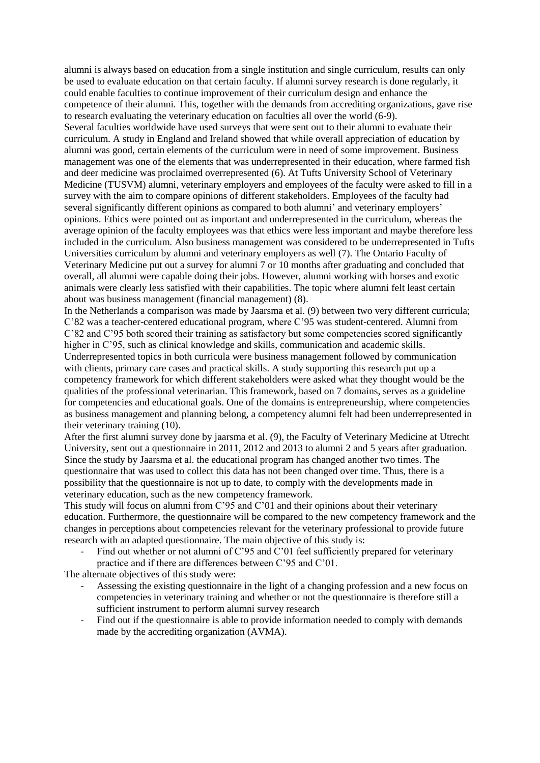alumni is always based on education from a single institution and single curriculum, results can only be used to evaluate education on that certain faculty. If alumni survey research is done regularly, it could enable faculties to continue improvement of their curriculum design and enhance the competence of their alumni. This, together with the demands from accrediting organizations, gave rise to research evaluating the veterinary education on faculties all over the world (6-9). Several faculties worldwide have used surveys that were sent out to their alumni to evaluate their curriculum. A study in England and Ireland showed that while overall appreciation of education by alumni was good, certain elements of the curriculum were in need of some improvement. Business management was one of the elements that was underrepresented in their education, where farmed fish and deer medicine was proclaimed overrepresented (6). At Tufts University School of Veterinary Medicine (TUSVM) alumni, veterinary employers and employees of the faculty were asked to fill in a survey with the aim to compare opinions of different stakeholders. Employees of the faculty had several significantly different opinions as compared to both alumni' and veterinary employers' opinions. Ethics were pointed out as important and underrepresented in the curriculum, whereas the average opinion of the faculty employees was that ethics were less important and maybe therefore less included in the curriculum. Also business management was considered to be underrepresented in Tufts Universities curriculum by alumni and veterinary employers as well (7). The Ontario Faculty of Veterinary Medicine put out a survey for alumni 7 or 10 months after graduating and concluded that overall, all alumni were capable doing their jobs. However, alumni working with horses and exotic animals were clearly less satisfied with their capabilities. The topic where alumni felt least certain about was business management (financial management) (8).

In the Netherlands a comparison was made by Jaarsma et al. (9) between two very different curricula; C'82 was a teacher-centered educational program, where C'95 was student-centered. Alumni from C'82 and C'95 both scored their training as satisfactory but some competencies scored significantly higher in C'95, such as clinical knowledge and skills, communication and academic skills. Underrepresented topics in both curricula were business management followed by communication with clients, primary care cases and practical skills. A study supporting this research put up a competency framework for which different stakeholders were asked what they thought would be the qualities of the professional veterinarian. This framework, based on 7 domains, serves as a guideline for competencies and educational goals. One of the domains is entrepreneurship, where competencies as business management and planning belong, a competency alumni felt had been underrepresented in their veterinary training (10).

After the first alumni survey done by jaarsma et al. (9), the Faculty of Veterinary Medicine at Utrecht University, sent out a questionnaire in 2011, 2012 and 2013 to alumni 2 and 5 years after graduation. Since the study by Jaarsma et al. the educational program has changed another two times. The questionnaire that was used to collect this data has not been changed over time. Thus, there is a possibility that the questionnaire is not up to date, to comply with the developments made in veterinary education, such as the new competency framework.

This study will focus on alumni from  $C<sup>3</sup>95$  and  $C<sup>3</sup>01$  and their opinions about their veterinary education. Furthermore, the questionnaire will be compared to the new competency framework and the changes in perceptions about competencies relevant for the veterinary professional to provide future research with an adapted questionnaire. The main objective of this study is:

- Find out whether or not alumni of C'95 and C'01 feel sufficiently prepared for veterinary practice and if there are differences between C'95 and C'01.

The alternate objectives of this study were:

- Assessing the existing questionnaire in the light of a changing profession and a new focus on competencies in veterinary training and whether or not the questionnaire is therefore still a sufficient instrument to perform alumni survey research
- Find out if the questionnaire is able to provide information needed to comply with demands made by the accrediting organization (AVMA).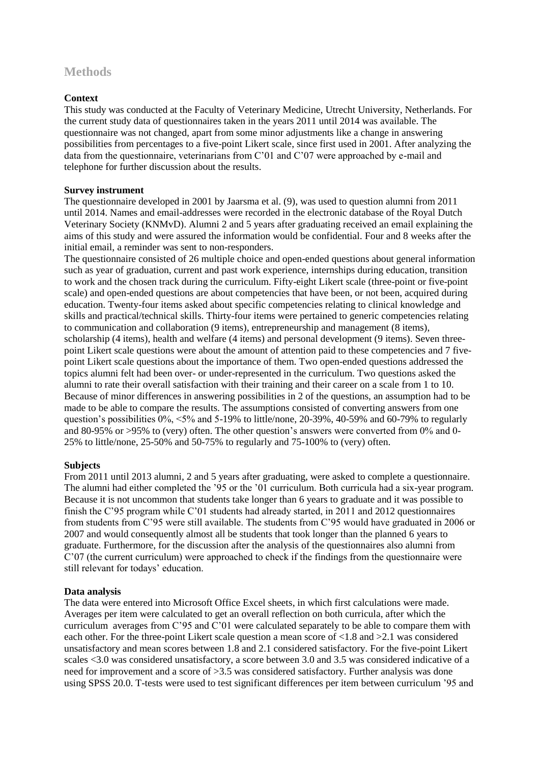# **Methods**

## **Context**

This study was conducted at the Faculty of Veterinary Medicine, Utrecht University, Netherlands. For the current study data of questionnaires taken in the years 2011 until 2014 was available. The questionnaire was not changed, apart from some minor adjustments like a change in answering possibilities from percentages to a five-point Likert scale, since first used in 2001. After analyzing the data from the questionnaire, veterinarians from C'01 and C'07 were approached by e-mail and telephone for further discussion about the results.

#### **Survey instrument**

The questionnaire developed in 2001 by Jaarsma et al. (9), was used to question alumni from 2011 until 2014. Names and email-addresses were recorded in the electronic database of the Royal Dutch Veterinary Society (KNMvD). Alumni 2 and 5 years after graduating received an email explaining the aims of this study and were assured the information would be confidential. Four and 8 weeks after the initial email, a reminder was sent to non-responders.

The questionnaire consisted of 26 multiple choice and open-ended questions about general information such as year of graduation, current and past work experience, internships during education, transition to work and the chosen track during the curriculum. Fifty-eight Likert scale (three-point or five-point scale) and open-ended questions are about competencies that have been, or not been, acquired during education. Twenty-four items asked about specific competencies relating to clinical knowledge and skills and practical/technical skills. Thirty-four items were pertained to generic competencies relating to communication and collaboration (9 items), entrepreneurship and management (8 items), scholarship (4 items), health and welfare (4 items) and personal development (9 items). Seven threepoint Likert scale questions were about the amount of attention paid to these competencies and 7 fivepoint Likert scale questions about the importance of them. Two open-ended questions addressed the topics alumni felt had been over- or under-represented in the curriculum. Two questions asked the alumni to rate their overall satisfaction with their training and their career on a scale from 1 to 10. Because of minor differences in answering possibilities in 2 of the questions, an assumption had to be made to be able to compare the results. The assumptions consisted of converting answers from one question's possibilities  $0\% \leq 5\%$  and  $5-19\%$  to little/none, 20-39%, 40-59% and 60-79% to regularly and 80-95% or >95% to (very) often. The other question's answers were converted from 0% and 0- 25% to little/none, 25-50% and 50-75% to regularly and 75-100% to (very) often.

#### **Subjects**

From 2011 until 2013 alumni, 2 and 5 years after graduating, were asked to complete a questionnaire. The alumni had either completed the '95 or the '01 curriculum. Both curricula had a six-year program. Because it is not uncommon that students take longer than 6 years to graduate and it was possible to finish the C'95 program while C'01 students had already started, in 2011 and 2012 questionnaires from students from C'95 were still available. The students from C'95 would have graduated in 2006 or 2007 and would consequently almost all be students that took longer than the planned 6 years to graduate. Furthermore, for the discussion after the analysis of the questionnaires also alumni from C'07 (the current curriculum) were approached to check if the findings from the questionnaire were still relevant for todays' education.

# **Data analysis**

The data were entered into Microsoft Office Excel sheets, in which first calculations were made. Averages per item were calculated to get an overall reflection on both curricula, after which the curriculum averages from C'95 and C'01 were calculated separately to be able to compare them with each other. For the three-point Likert scale question a mean score of <1.8 and >2.1 was considered unsatisfactory and mean scores between 1.8 and 2.1 considered satisfactory. For the five-point Likert scales <3.0 was considered unsatisfactory, a score between 3.0 and 3.5 was considered indicative of a need for improvement and a score of >3.5 was considered satisfactory. Further analysis was done using SPSS 20.0. T-tests were used to test significant differences per item between curriculum '95 and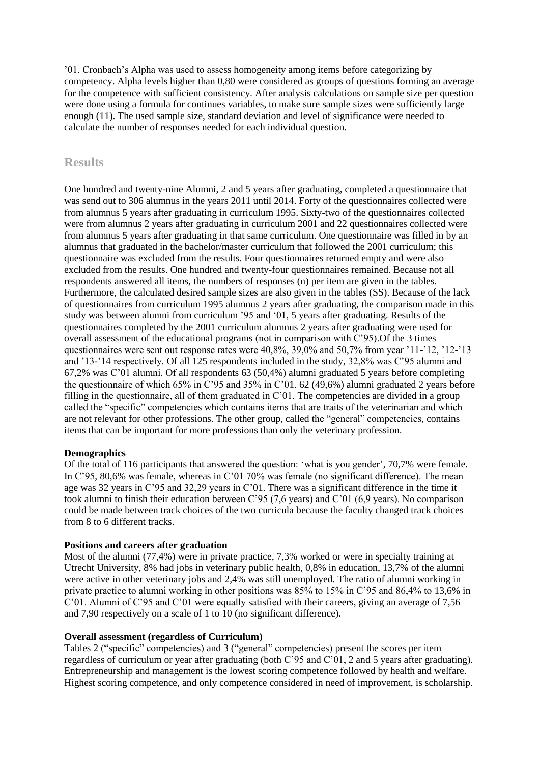'01. Cronbach's Alpha was used to assess homogeneity among items before categorizing by competency. Alpha levels higher than 0,80 were considered as groups of questions forming an average for the competence with sufficient consistency. After analysis calculations on sample size per question were done using a formula for continues variables, to make sure sample sizes were sufficiently large enough (11). The used sample size, standard deviation and level of significance were needed to calculate the number of responses needed for each individual question.

# **Results**

One hundred and twenty-nine Alumni, 2 and 5 years after graduating, completed a questionnaire that was send out to 306 alumnus in the years 2011 until 2014. Forty of the questionnaires collected were from alumnus 5 years after graduating in curriculum 1995. Sixty-two of the questionnaires collected were from alumnus 2 years after graduating in curriculum 2001 and 22 questionnaires collected were from alumnus 5 years after graduating in that same curriculum. One questionnaire was filled in by an alumnus that graduated in the bachelor/master curriculum that followed the 2001 curriculum; this questionnaire was excluded from the results. Four questionnaires returned empty and were also excluded from the results. One hundred and twenty-four questionnaires remained. Because not all respondents answered all items, the numbers of responses (n) per item are given in the tables. Furthermore, the calculated desired sample sizes are also given in the tables (SS). Because of the lack of questionnaires from curriculum 1995 alumnus 2 years after graduating, the comparison made in this study was between alumni from curriculum '95 and '01, 5 years after graduating. Results of the questionnaires completed by the 2001 curriculum alumnus 2 years after graduating were used for overall assessment of the educational programs (not in comparison with C'95).Of the 3 times questionnaires were sent out response rates were 40,8%, 39,0% and 50,7% from year '11-'12, '12-'13 and '13-'14 respectively. Of all 125 respondents included in the study, 32,8% was C'95 alumni and 67,2% was C'01 alumni. Of all respondents 63 (50,4%) alumni graduated 5 years before completing the questionnaire of which 65% in C'95 and 35% in C'01. 62 (49,6%) alumni graduated 2 years before filling in the questionnaire, all of them graduated in C'01. The competencies are divided in a group called the "specific" competencies which contains items that are traits of the veterinarian and which are not relevant for other professions. The other group, called the "general" competencies, contains items that can be important for more professions than only the veterinary profession.

# **Demographics**

Of the total of 116 participants that answered the question: 'what is you gender', 70,7% were female. In C'95, 80,6% was female, whereas in C'01 70% was female (no significant difference). The mean age was 32 years in C'95 and 32,29 years in C'01. There was a significant difference in the time it took alumni to finish their education between C'95 (7,6 years) and C'01 (6,9 years). No comparison could be made between track choices of the two curricula because the faculty changed track choices from 8 to 6 different tracks.

#### **Positions and careers after graduation**

Most of the alumni (77,4%) were in private practice, 7,3% worked or were in specialty training at Utrecht University, 8% had jobs in veterinary public health, 0,8% in education, 13,7% of the alumni were active in other veterinary jobs and 2,4% was still unemployed. The ratio of alumni working in private practice to alumni working in other positions was 85% to 15% in C'95 and 86,4% to 13,6% in C'01. Alumni of C'95 and C'01 were equally satisfied with their careers, giving an average of 7,56 and 7,90 respectively on a scale of 1 to 10 (no significant difference).

## **Overall assessment (regardless of Curriculum)**

Tables 2 ("specific" competencies) and 3 ("general" competencies) present the scores per item regardless of curriculum or year after graduating (both C'95 and C'01, 2 and 5 years after graduating). Entrepreneurship and management is the lowest scoring competence followed by health and welfare. Highest scoring competence, and only competence considered in need of improvement, is scholarship.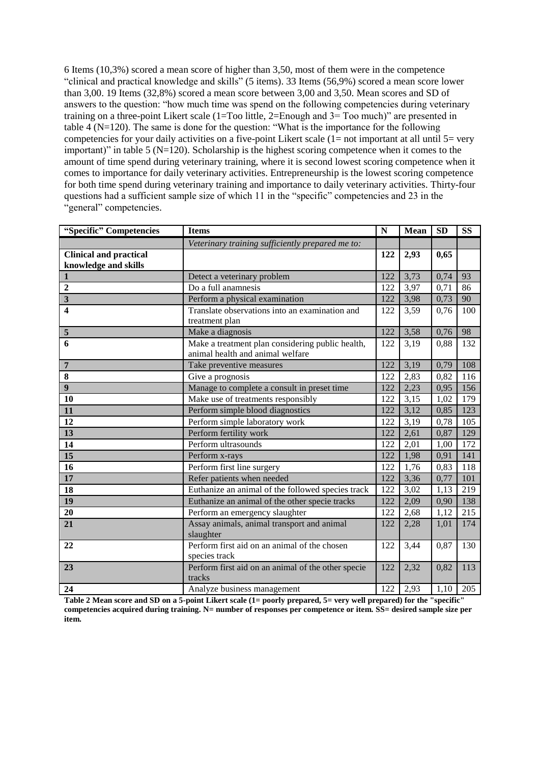6 Items (10,3%) scored a mean score of higher than 3,50, most of them were in the competence "clinical and practical knowledge and skills" (5 items). 33 Items (56,9%) scored a mean score lower than 3,00. 19 Items (32,8%) scored a mean score between 3,00 and 3,50. Mean scores and SD of answers to the question: "how much time was spend on the following competencies during veterinary training on a three-point Likert scale (1=Too little, 2=Enough and 3= Too much)" are presented in table 4 (N=120). The same is done for the question: "What is the importance for the following competencies for your daily activities on a five-point Likert scale  $(1=$  not important at all until  $5=$  very important)" in table 5 ( $N=120$ ). Scholarship is the highest scoring competence when it comes to the amount of time spend during veterinary training, where it is second lowest scoring competence when it comes to importance for daily veterinary activities. Entrepreneurship is the lowest scoring competence for both time spend during veterinary training and importance to daily veterinary activities. Thirty-four questions had a sufficient sample size of which 11 in the "specific" competencies and 23 in the "general" competencies.

| "Specific" Competencies                               | <b>Items</b>                                                                         | $\mathbf N$ | Mean | <b>SD</b> | <b>SS</b> |
|-------------------------------------------------------|--------------------------------------------------------------------------------------|-------------|------|-----------|-----------|
|                                                       | Veterinary training sufficiently prepared me to:                                     |             |      |           |           |
| <b>Clinical and practical</b><br>knowledge and skills |                                                                                      | 122         | 2,93 | 0,65      |           |
| $\mathbf{1}$                                          | Detect a veterinary problem                                                          | 122         | 3,73 | 0,74      | 93        |
| $\overline{2}$                                        | Do a full anamnesis                                                                  | 122         | 3,97 | 0,71      | 86        |
| $\overline{\mathbf{3}}$                               | Perform a physical examination                                                       | 122         | 3,98 | 0,73      | 90        |
| $\overline{\mathbf{4}}$                               | Translate observations into an examination and<br>treatment plan                     | 122         | 3,59 | 0,76      | 100       |
| 5                                                     | Make a diagnosis                                                                     | 122         | 3,58 | 0,76      | 98        |
| 6                                                     | Make a treatment plan considering public health,<br>animal health and animal welfare | 122         | 3,19 | 0,88      | 132       |
| $\overline{7}$                                        | Take preventive measures                                                             | 122         | 3,19 | 0,79      | 108       |
| 8                                                     | Give a prognosis                                                                     | 122         | 2,83 | 0,82      | 116       |
| $\overline{9}$                                        | Manage to complete a consult in preset time                                          | 122         | 2,23 | 0,95      | 156       |
| 10                                                    | Make use of treatments responsibly                                                   | 122         | 3,15 | 1,02      | 179       |
| 11                                                    | Perform simple blood diagnostics                                                     | 122         | 3,12 | 0,85      | 123       |
| 12                                                    | Perform simple laboratory work                                                       | 122         | 3,19 | 0,78      | 105       |
| 13                                                    | Perform fertility work                                                               | 122         | 2,61 | 0,87      | 129       |
| 14                                                    | Perform ultrasounds                                                                  | 122         | 2,01 | 1,00      | 172       |
| $\overline{15}$                                       | Perform x-rays                                                                       | 122         | 1,98 | 0,91      | 141       |
| 16                                                    | Perform first line surgery                                                           | 122         | 1,76 | 0,83      | 118       |
| 17                                                    | Refer patients when needed                                                           | 122         | 3,36 | 0,77      | 101       |
| 18                                                    | Euthanize an animal of the followed species track                                    | 122         | 3,02 | 1,13      | 219       |
| 19                                                    | Euthanize an animal of the other specie tracks                                       | 122         | 2,09 | 0,90      | 138       |
| 20                                                    | Perform an emergency slaughter                                                       | 122         | 2,68 | 1,12      | 215       |
| 21                                                    | Assay animals, animal transport and animal<br>slaughter                              | 122         | 2,28 | 1,01      | 174       |
| 22                                                    | Perform first aid on an animal of the chosen<br>species track                        | 122         | 3,44 | 0,87      | 130       |
| 23                                                    | Perform first aid on an animal of the other specie<br>tracks                         | 122         | 2,32 | 0,82      | 113       |
| 24                                                    | Analyze business management                                                          | 122         | 2,93 | 1,10      | 205       |

**Table 2 Mean score and SD on a 5-point Likert scale (1= poorly prepared, 5= very well prepared) for the "specific" competencies acquired during training. N= number of responses per competence or item. SS= desired sample size per item.**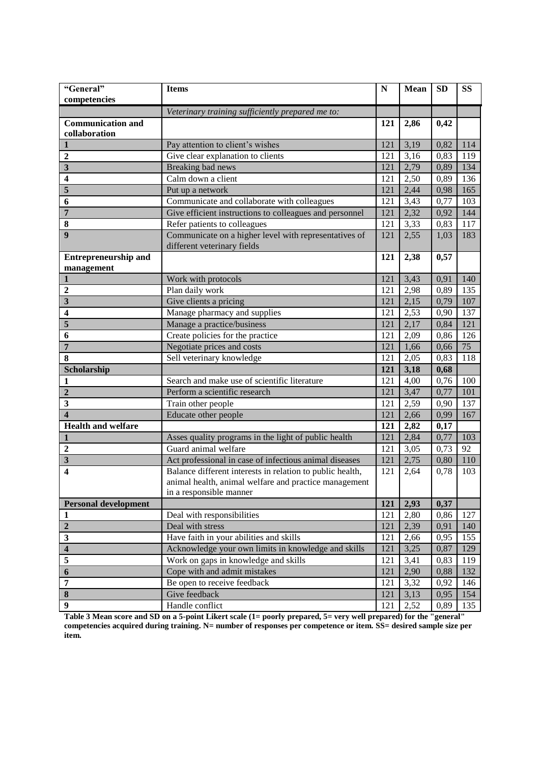| "General"<br>competencies   | <b>Items</b>                                                                     | ${\bf N}$ | Mean | <b>SD</b> | <b>SS</b> |
|-----------------------------|----------------------------------------------------------------------------------|-----------|------|-----------|-----------|
|                             |                                                                                  |           |      |           |           |
| <b>Communication and</b>    | Veterinary training sufficiently prepared me to:                                 | 121       | 2,86 | 0,42      |           |
| collaboration               |                                                                                  |           |      |           |           |
| 1                           | Pay attention to client's wishes                                                 | 121       | 3,19 | 0,82      | 114       |
| $\overline{2}$              | Give clear explanation to clients                                                | 121       | 3,16 | 0,83      | 119       |
| $\overline{\mathbf{3}}$     | <b>Breaking</b> bad news                                                         | 121       | 2,79 | 0,89      | 134       |
| $\overline{\mathbf{4}}$     | Calm down a client                                                               | 121       | 2,50 | 0,89      | 136       |
| 5                           | Put up a network                                                                 | 121       | 2,44 | 0,98      | 165       |
| 6                           | Communicate and collaborate with colleagues                                      | 121       | 3,43 | 0,77      | 103       |
| $\overline{7}$              | Give efficient instructions to colleagues and personnel                          | 121       | 2,32 | 0,92      | 144       |
| 8                           | Refer patients to colleagues                                                     | 121       | 3,33 | 0,83      | 117       |
| $\boldsymbol{9}$            | Communicate on a higher level with representatives of                            | 121       | 2,55 | 1,03      | 183       |
|                             | different veterinary fields                                                      |           |      |           |           |
| <b>Entrepreneurship and</b> |                                                                                  | 121       | 2,38 | 0,57      |           |
| management                  |                                                                                  |           |      |           |           |
| $\mathbf{1}$                | Work with protocols                                                              | 121       | 3,43 | 0,91      | 140       |
| $\boldsymbol{2}$            | Plan daily work                                                                  | 121       | 2,98 | 0,89      | 135       |
| $\overline{\mathbf{3}}$     | Give clients a pricing                                                           | 121       | 2,15 | 0,79      | 107       |
| $\overline{\mathbf{4}}$     | Manage pharmacy and supplies                                                     | 121       | 2,53 | 0,90      | 137       |
| 5                           | Manage a practice/business                                                       | 121       | 2,17 | 0,84      | 121       |
| 6                           | Create policies for the practice                                                 | 121       | 2,09 | 0,86      | 126       |
| $\overline{7}$              | Negotiate prices and costs                                                       | 121       | 1,66 | 0,66      | 75        |
| 8                           | Sell veterinary knowledge                                                        | 121       | 2,05 | 0,83      | 118       |
| Scholarship                 |                                                                                  | 121       | 3,18 | 0,68      |           |
| 1                           | Search and make use of scientific literature                                     | 121       | 4,00 | 0,76      | 100       |
| $\overline{2}$              | Perform a scientific research                                                    | 121       | 3,47 | 0,77      | 101       |
| $\mathbf{3}$                | Train other people                                                               | 121       | 2,59 | 0,90      | 137       |
| $\overline{\mathbf{4}}$     | Educate other people                                                             | 121       | 2,66 | 0,99      | 167       |
| <b>Health and welfare</b>   |                                                                                  | 121       | 2,82 | 0,17      |           |
| $\mathbf{1}$                | Asses quality programs in the light of public health                             | 121       | 2,84 | 0,77      | 103       |
| $\overline{2}$              | Guard animal welfare                                                             | 121       | 3,05 | 0,73      | 92        |
| $\overline{\mathbf{3}}$     | Act professional in case of infectious animal diseases                           | 121       | 2,75 | 0,80      | 110       |
| $\overline{\mathbf{4}}$     | Balance different interests in relation to public health,                        | 121       | 2,64 | 0,78      | 103       |
|                             | animal health, animal welfare and practice management<br>in a responsible manner |           |      |           |           |
| <b>Personal development</b> |                                                                                  | 121       | 2,93 | 0,37      |           |
| $\mathbf{1}$                | Deal with responsibilities                                                       | 121       | 2,80 | 0,86      | 127       |
| $\overline{2}$              | Deal with stress                                                                 | 121       | 2,39 | 0,91      | 140       |
| $\mathbf{3}$                | Have faith in your abilities and skills                                          | 121       | 2,66 | 0,95      | 155       |
| $\overline{\mathbf{4}}$     | Acknowledge your own limits in knowledge and skills                              | 121       | 3,25 | 0,87      | 129       |
| 5                           | Work on gaps in knowledge and skills                                             | 121       | 3,41 | 0,83      | 119       |
| 6                           | Cope with and admit mistakes                                                     | 121       | 2,90 | 0,88      | 132       |
| $\overline{7}$              | Be open to receive feedback                                                      | 121       | 3,32 | 0,92      | 146       |
| 8                           | Give feedback                                                                    | 121       | 3,13 | 0,95      | 154       |
| $\boldsymbol{9}$            | Handle conflict                                                                  | 121       | 2,52 | 0,89      | 135       |
|                             |                                                                                  |           |      |           |           |

**Table 3 Mean score and SD on a 5-point Likert scale (1= poorly prepared, 5= very well prepared) for the "general" competencies acquired during training. N= number of responses per competence or item. SS= desired sample size per item.**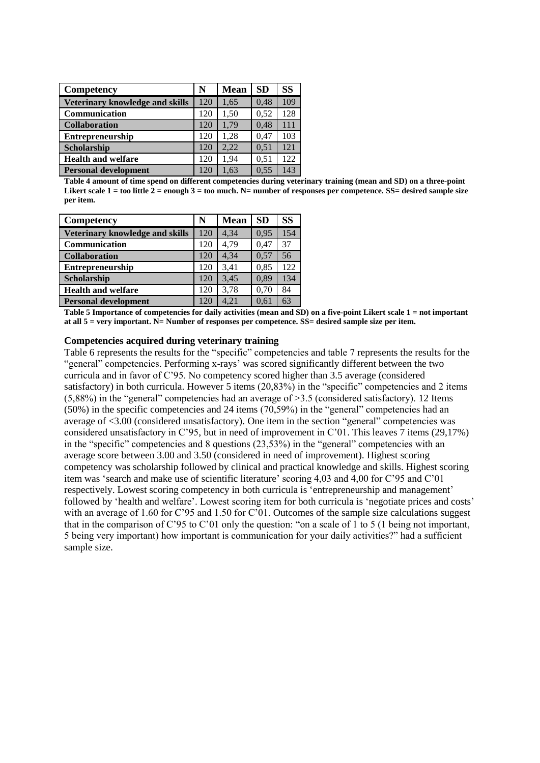| Competency                      | N   | <b>Mean</b> | <b>SD</b> | <b>SS</b> |
|---------------------------------|-----|-------------|-----------|-----------|
| Veterinary knowledge and skills | 120 | 1,65        | 0,48      | 109       |
| Communication                   | 120 | 1,50        | 0,52      | 128       |
| <b>Collaboration</b>            | 120 | 1.79        | 0,48      | 111       |
| Entrepreneurship                | 120 | 1.28        | 0.47      | 103       |
| Scholarship                     | 120 | 2.22        | 0.51      | 121       |
| <b>Health and welfare</b>       | 120 | 1.94        | 0.51      | 122       |
| <b>Personal development</b>     | 120 | 1.63        | 0.55      | 143       |

**Table 4 amount of time spend on different competencies during veterinary training (mean and SD) on a three-point**  Likert scale 1 = too little 2 = enough 3 = too much. N= number of responses per competence. SS= desired sample size **per item.**

| Competency                      | N   | Mean | <b>SD</b> | SS  |
|---------------------------------|-----|------|-----------|-----|
| Veterinary knowledge and skills | 120 | 4.34 | 0.95      | 154 |
| Communication                   | 120 | 4.79 | 0.47      | 37  |
| <b>Collaboration</b>            | 120 | 4.34 | 0,57      | 56  |
| Entrepreneurship                | 120 | 3.41 | 0,85      | 122 |
| Scholarship                     | 120 | 3.45 | 0.89      | 134 |
| <b>Health and welfare</b>       | 120 | 3.78 | 0.70      | 84  |
| <b>Personal development</b>     | 120 | 4.21 | 0.61      | 63  |

**Table 5 Importance of competencies for daily activities (mean and SD) on a five-point Likert scale 1 = not important at all 5 = very important. N= Number of responses per competence. SS= desired sample size per item.**

#### **Competencies acquired during veterinary training**

Table 6 represents the results for the "specific" competencies and table 7 represents the results for the "general" competencies. Performing x-rays' was scored significantly different between the two curricula and in favor of C'95. No competency scored higher than 3.5 average (considered satisfactory) in both curricula. However 5 items (20,83%) in the "specific" competencies and 2 items  $(5,88\%)$  in the "general" competencies had an average of  $>3.5$  (considered satisfactory). 12 Items (50%) in the specific competencies and 24 items (70,59%) in the "general" competencies had an average of <3.00 (considered unsatisfactory). One item in the section "general" competencies was considered unsatisfactory in C'95, but in need of improvement in C'01. This leaves 7 items (29,17%) in the "specific" competencies and 8 questions (23,53%) in the "general" competencies with an average score between 3.00 and 3.50 (considered in need of improvement). Highest scoring competency was scholarship followed by clinical and practical knowledge and skills. Highest scoring item was 'search and make use of scientific literature' scoring 4,03 and 4,00 for C'95 and C'01 respectively. Lowest scoring competency in both curricula is 'entrepreneurship and management' followed by 'health and welfare'. Lowest scoring item for both curricula is 'negotiate prices and costs' with an average of 1.60 for C'95 and 1.50 for C'01. Outcomes of the sample size calculations suggest that in the comparison of C'95 to C'01 only the question: "on a scale of 1 to 5 (1 being not important, 5 being very important) how important is communication for your daily activities?" had a sufficient sample size.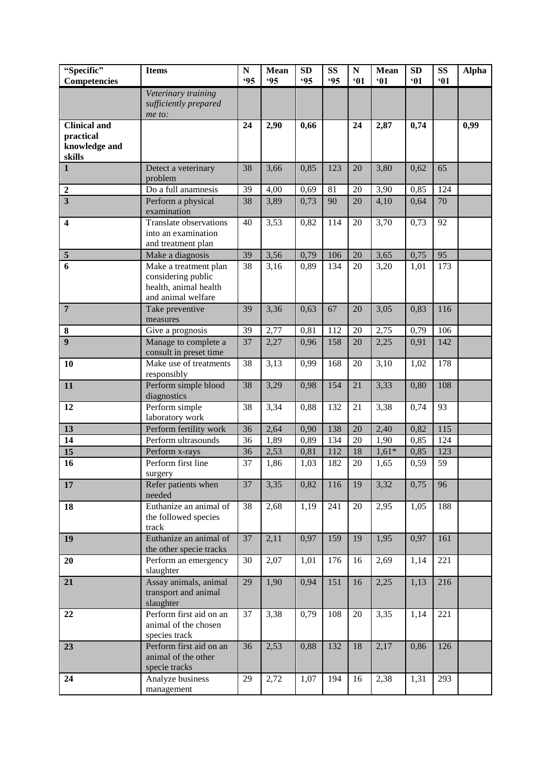| "Specific"                | <b>Items</b>                                    | ${\bf N}$  | <b>Mean</b> | <b>SD</b>  | <b>SS</b>  | ${\bf N}$       | <b>Mean</b> | SD   | <b>SS</b> | <b>Alpha</b> |
|---------------------------|-------------------------------------------------|------------|-------------|------------|------------|-----------------|-------------|------|-----------|--------------|
| Competencies              |                                                 | <b>.95</b> | <b>.95</b>  | <b>.95</b> | <b>.95</b> | •01             | •01         | 61   | 01        |              |
|                           | Veterinary training                             |            |             |            |            |                 |             |      |           |              |
|                           | sufficiently prepared                           |            |             |            |            |                 |             |      |           |              |
|                           | me to:                                          |            |             |            |            |                 |             |      |           |              |
| Clinical and<br>practical |                                                 | 24         | 2,90        | 0,66       |            | 24              | 2,87        | 0,74 |           | 0,99         |
| knowledge and             |                                                 |            |             |            |            |                 |             |      |           |              |
| skills                    |                                                 |            |             |            |            |                 |             |      |           |              |
| $\mathbf{1}$              | Detect a veterinary                             | 38         | 3,66        | 0,85       | 123        | 20              | 3,80        | 0,62 | 65        |              |
|                           | problem                                         |            |             |            |            |                 |             |      |           |              |
| $\mathbf 2$               | Do a full anamnesis                             | 39         | 4,00        | 0,69       | 81         | 20              | 3,90        | 0,85 | 124       |              |
| $\overline{\mathbf{3}}$   | Perform a physical                              | 38         | 3,89        | 0,73       | 90         | 20              | 4,10        | 0,64 | 70        |              |
|                           | examination                                     |            |             |            |            |                 |             |      |           |              |
| $\overline{\mathbf{4}}$   | Translate observations                          | 40         | 3,53        | 0,82       | 114        | 20              | 3,70        | 0,73 | 92        |              |
|                           | into an examination                             |            |             |            |            |                 |             |      |           |              |
|                           | and treatment plan                              |            |             |            |            |                 |             |      |           |              |
| $\overline{\mathbf{5}}$   | Make a diagnosis                                | 39         | 3,56        | 0,79       | 106        | 20              | 3,65        | 0,75 | 95        |              |
| 6                         | Make a treatment plan                           | 38         | 3,16        | 0,89       | 134        | 20              | 3,20        | 1,01 | 173       |              |
|                           | considering public                              |            |             |            |            |                 |             |      |           |              |
|                           | health, animal health<br>and animal welfare     |            |             |            |            |                 |             |      |           |              |
| $\overline{7}$            | Take preventive                                 | 39         | 3,36        | 0,63       | 67         | 20              | 3,05        | 0,83 | 116       |              |
|                           | measures                                        |            |             |            |            |                 |             |      |           |              |
| $\bf 8$                   | Give a prognosis                                | 39         | 2,77        | 0,81       | 112        | 20              | 2,75        | 0,79 | 106       |              |
| $\overline{9}$            | Manage to complete a                            | 37         | 2,27        | 0,96       | 158        | 20              | 2,25        | 0,91 | 142       |              |
|                           | consult in preset time                          |            |             |            |            |                 |             |      |           |              |
| 10                        | Make use of treatments                          | 38         | 3,13        | 0,99       | 168        | 20              | 3,10        | 1,02 | 178       |              |
|                           | responsibly                                     |            |             |            |            |                 |             |      |           |              |
| 11                        | Perform simple blood                            | 38         | 3,29        | 0,98       | 154        | $\overline{21}$ | 3,33        | 0,80 | 108       |              |
|                           | diagnostics                                     |            |             |            | 132        |                 |             |      |           |              |
| 12                        | Perform simple<br>laboratory work               | 38         | 3,34        | 0,88       |            | 21              | 3,38        | 0,74 | 93        |              |
| 13                        | Perform fertility work                          | 36         | 2,64        | 0,90       | 138        | $\overline{20}$ | 2,40        | 0,82 | 115       |              |
| 14                        | Perform ultrasounds                             | 36         | 1,89        | 0,89       | 134        | 20              | 1,90        | 0,85 | 124       |              |
| 15                        | Perform x-rays                                  | 36         | 2,53        | 0,81       | 112        | 18              | $1,61*$     | 0,85 | 123       |              |
| 16                        | Perform first line                              | 37         | 1,86        | 1,03       | 182        | 20              | 1,65        | 0,59 | 59        |              |
|                           | surgery                                         |            |             |            |            |                 |             |      |           |              |
| 17                        | Refer patients when                             | 37         | 3,35        | 0,82       | 116        | 19              | 3,32        | 0,75 | 96        |              |
|                           | needed                                          |            |             |            |            |                 |             |      |           |              |
| 18                        | Euthanize an animal of                          | 38         | 2,68        | 1,19       | 241        | 20              | 2,95        | 1,05 | 188       |              |
|                           | the followed species                            |            |             |            |            |                 |             |      |           |              |
|                           | track                                           |            |             |            |            |                 |             |      |           |              |
| 19                        | Euthanize an animal of                          | 37         | 2,11        | 0,97       | 159        | 19              | 1,95        | 0,97 | 161       |              |
| 20                        | the other specie tracks<br>Perform an emergency | 30         | 2,07        | 1,01       | 176        | 16              | 2,69        | 1,14 | 221       |              |
|                           | slaughter                                       |            |             |            |            |                 |             |      |           |              |
| 21                        | Assay animals, animal                           | 29         | 1,90        | 0,94       | 151        | 16              | 2,25        | 1,13 | 216       |              |
|                           | transport and animal                            |            |             |            |            |                 |             |      |           |              |
|                           | slaughter                                       |            |             |            |            |                 |             |      |           |              |
| 22                        | Perform first aid on an                         | 37         | 3,38        | 0,79       | 108        | 20              | 3,35        | 1,14 | 221       |              |
|                           | animal of the chosen                            |            |             |            |            |                 |             |      |           |              |
|                           | species track                                   |            |             |            |            |                 |             |      |           |              |
| 23                        | Perform first aid on an                         | 36         | 2,53        | 0,88       | 132        | 18              | 2,17        | 0,86 | 126       |              |
|                           | animal of the other                             |            |             |            |            |                 |             |      |           |              |
| 24                        | specie tracks<br>Analyze business               | 29         | 2,72        | 1,07       | 194        | 16              | 2,38        | 1,31 | 293       |              |
|                           | management                                      |            |             |            |            |                 |             |      |           |              |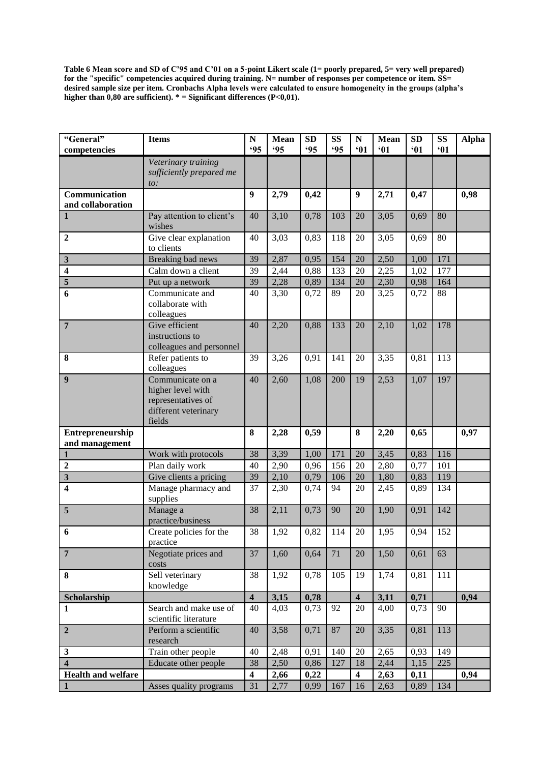**Table 6 Mean score and SD of C'95 and C'01 on a 5-point Likert scale (1= poorly prepared, 5= very well prepared) for the "specific" competencies acquired during training. N= number of responses per competence or item. SS= desired sample size per item. Cronbachs Alpha levels were calculated to ensure homogeneity in the groups (alpha's**  higher than  $0,80$  are sufficient).  $* =$  Significant differences (P<0,01).

| "General"<br>competencies          | <b>Items</b>                                                                                  | ${\bf N}$<br><b>.95</b> | Mean<br><b>'95</b> | <b>SD</b><br><b>.95</b> | SS<br><b>.95</b> | $\mathbf N$<br>•01      | <b>Mean</b><br>61 | SD<br>•01 | <b>SS</b><br>61 | <b>Alpha</b> |
|------------------------------------|-----------------------------------------------------------------------------------------------|-------------------------|--------------------|-------------------------|------------------|-------------------------|-------------------|-----------|-----------------|--------------|
|                                    |                                                                                               |                         |                    |                         |                  |                         |                   |           |                 |              |
|                                    | Veterinary training<br>sufficiently prepared me<br>to:                                        |                         |                    |                         |                  |                         |                   |           |                 |              |
| Communication<br>and collaboration |                                                                                               | $\boldsymbol{9}$        | 2,79               | 0,42                    |                  | $\boldsymbol{9}$        | 2,71              | 0,47      |                 | 0,98         |
| $\mathbf{1}$                       | Pay attention to client's<br>wishes                                                           | 40                      | 3,10               | 0,78                    | 103              | 20                      | 3,05              | 0,69      | 80              |              |
| $\boldsymbol{2}$                   | Give clear explanation<br>to clients                                                          | 40                      | 3,03               | 0,83                    | 118              | 20                      | 3,05              | 0,69      | 80              |              |
| $\mathbf{3}$                       | Breaking bad news                                                                             | 39                      | 2,87               | 0,95                    | 154              | 20                      | 2,50              | 1,00      | 171             |              |
| $\overline{\mathbf{4}}$            | Calm down a client                                                                            | 39                      | 2,44               | 0,88                    | 133              | 20                      | 2,25              | 1,02      | 177             |              |
| $\overline{\mathbf{5}}$            | Put up a network                                                                              | 39                      | 2,28               | 0,89                    | 134              | 20                      | 2,30              | 0,98      | 164             |              |
| 6                                  | Communicate and<br>collaborate with<br>colleagues                                             | 40                      | 3,30               | 0,72                    | 89               | 20                      | 3,25              | 0,72      | 88              |              |
| $\overline{7}$                     | Give efficient<br>instructions to<br>colleagues and personnel                                 | 40                      | 2,20               | 0,88                    | 133              | 20                      | 2,10              | 1,02      | 178             |              |
| 8                                  | Refer patients to<br>colleagues                                                               | 39                      | 3,26               | 0,91                    | 141              | 20                      | 3,35              | 0,81      | 113             |              |
| 9                                  | Communicate on a<br>higher level with<br>representatives of<br>different veterinary<br>fields | 40                      | 2,60               | 1,08                    | 200              | 19                      | 2,53              | 1,07      | 197             |              |
| Entrepreneurship                   |                                                                                               | 8                       | 2,28               | 0,59                    |                  | 8                       | 2,20              | 0,65      |                 | 0,97         |
| and management                     |                                                                                               |                         |                    |                         |                  |                         |                   |           |                 |              |
| $\mathbf{1}$                       | Work with protocols                                                                           | 38                      | 3,39               | 1,00                    | 171              | 20                      | 3,45              | 0,83      | 116             |              |
| $\overline{2}$                     | Plan daily work                                                                               | 40                      | 2,90               | 0,96                    | 156              | 20                      | 2,80              | 0,77      | 101             |              |
| $\mathbf{3}$                       | Give clients a pricing                                                                        | 39                      | 2,10               | 0,79                    | 106              | 20                      | 1,80              | 0,83      | 119             |              |
| 4                                  | Manage pharmacy and<br>supplies                                                               | 37                      | 2,30               | 0,74                    | 94               | 20                      | 2,45              | 0,89      | 134             |              |
| 5                                  | Manage a<br>practice/business                                                                 | 38                      | 2,11               | 0,73                    | 90               | 20                      | 1,90              | 0,91      | 142             |              |
| 6                                  | Create policies for the<br>practice                                                           | 38                      | 1,92               | 0,82                    | 114              | 20                      | 1,95              | 0,94      | 152             |              |
| $\overline{7}$                     | Negotiate prices and<br>costs                                                                 | 37                      | 1,60               | 0,64                    | 71               | 20                      | 1,50              | 0,61      | 63              |              |
| 8                                  | Sell veterinary<br>knowledge                                                                  | 38                      | 1,92               | 0,78                    | 105              | 19                      | 1,74              | 0,81      | 111             |              |
| Scholarship                        |                                                                                               | $\overline{\mathbf{4}}$ | 3,15               | 0,78                    |                  | $\overline{\mathbf{4}}$ | 3,11              | 0,71      |                 | 0,94         |
| 1                                  | Search and make use of<br>scientific literature                                               | 40                      | 4,03               | 0,73                    | 92               | 20                      | 4,00              | 0,73      | 90              |              |
| $\boldsymbol{2}$                   | Perform a scientific<br>research                                                              | 40                      | 3,58               | 0,71                    | 87               | 20                      | 3,35              | 0,81      | 113             |              |
| $\mathbf{3}$                       | Train other people                                                                            | 40                      | 2,48               | 0,91                    | 140              | 20                      | 2,65              | 0,93      | 149             |              |
| $\overline{\mathbf{4}}$            | Educate other people                                                                          | 38                      | 2,50               | 0,86                    | 127              | 18                      | 2,44              | 1,15      | 225             |              |
| <b>Health and welfare</b>          |                                                                                               | $\overline{\mathbf{4}}$ | 2,66               | 0,22                    |                  | $\overline{\mathbf{4}}$ | 2,63              | 0,11      |                 | 0,94         |
| $\mathbf{1}$                       | Asses quality programs                                                                        | 31                      | 2,77               | 0,99                    | 167              | 16                      | 2,63              | 0,89      | 134             |              |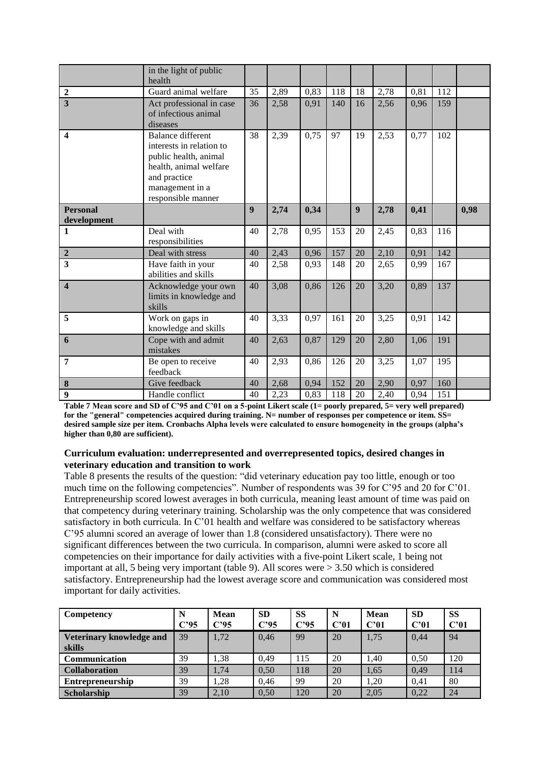|                                | in the light of public<br>health                                                                                                                                 |    |      |      |     |                  |      |      |     |      |
|--------------------------------|------------------------------------------------------------------------------------------------------------------------------------------------------------------|----|------|------|-----|------------------|------|------|-----|------|
| $\mathbf 2$                    | Guard animal welfare                                                                                                                                             | 35 | 2,89 | 0,83 | 118 | 18               | 2,78 | 0,81 | 112 |      |
| $\overline{\mathbf{3}}$        | Act professional in case<br>of infectious animal<br>diseases                                                                                                     | 36 | 2,58 | 0,91 | 140 | 16               | 2,56 | 0,96 | 159 |      |
| $\boldsymbol{4}$               | <b>Balance different</b><br>interests in relation to<br>public health, animal<br>health, animal welfare<br>and practice<br>management in a<br>responsible manner | 38 | 2,39 | 0,75 | 97  | 19               | 2,53 | 0,77 | 102 |      |
| <b>Personal</b><br>development |                                                                                                                                                                  | 9  | 2,74 | 0,34 |     | $\boldsymbol{9}$ | 2,78 | 0,41 |     | 0,98 |
| $\mathbf{1}$                   | Deal with<br>responsibilities                                                                                                                                    | 40 | 2,78 | 0,95 | 153 | 20               | 2,45 | 0,83 | 116 |      |
| $\overline{2}$                 | Deal with stress                                                                                                                                                 | 40 | 2,43 | 0,96 | 157 | 20               | 2,10 | 0,91 | 142 |      |
| $\overline{\mathbf{3}}$        | Have faith in your<br>abilities and skills                                                                                                                       | 40 | 2,58 | 0,93 | 148 | 20               | 2,65 | 0,99 | 167 |      |
| $\overline{\mathbf{4}}$        | Acknowledge your own<br>limits in knowledge and<br>skills                                                                                                        | 40 | 3,08 | 0,86 | 126 | 20               | 3,20 | 0,89 | 137 |      |
| 5                              | Work on gaps in<br>knowledge and skills                                                                                                                          | 40 | 3,33 | 0,97 | 161 | 20               | 3,25 | 0,91 | 142 |      |
| 6                              | Cope with and admit<br>mistakes                                                                                                                                  | 40 | 2,63 | 0,87 | 129 | 20               | 2,80 | 1,06 | 191 |      |
| 7                              | Be open to receive<br>feedback                                                                                                                                   | 40 | 2,93 | 0,86 | 126 | 20               | 3,25 | 1,07 | 195 |      |
| $\boldsymbol{8}$               | Give feedback                                                                                                                                                    | 40 | 2,68 | 0,94 | 152 | 20               | 2,90 | 0,97 | 160 |      |
| $\overline{9}$                 | Handle conflict                                                                                                                                                  | 40 | 2,23 | 0,83 | 118 | 20               | 2,40 | 0,94 | 151 |      |

**Table 7 Mean score and SD of C'95 and C'01 on a 5-point Likert scale (1= poorly prepared, 5= very well prepared) for the "general" competencies acquired during training. N= number of responses per competence or item. SS= desired sample size per item. Cronbachs Alpha levels were calculated to ensure homogeneity in the groups (alpha's higher than 0,80 are sufficient).**

#### **Curriculum evaluation: underrepresented and overrepresented topics, desired changes in veterinary education and transition to work**

Table 8 presents the results of the question: "did veterinary education pay too little, enough or too much time on the following competencies". Number of respondents was 39 for C'95 and 20 for C'01. Entrepreneurship scored lowest averages in both curricula, meaning least amount of time was paid on that competency during veterinary training. Scholarship was the only competence that was considered satisfactory in both curricula. In C'01 health and welfare was considered to be satisfactory whereas C'95 alumni scored an average of lower than 1.8 (considered unsatisfactory). There were no significant differences between the two curricula. In comparison, alumni were asked to score all competencies on their importance for daily activities with a five-point Likert scale, 1 being not important at all, 5 being very important (table 9). All scores were > 3.50 which is considered satisfactory. Entrepreneurship had the lowest average score and communication was considered most important for daily activities.

| Competency               | N       | <b>Mean</b> | <b>SD</b> | <b>SS</b> | N    | <b>Mean</b> | <b>SD</b> | <b>SS</b> |
|--------------------------|---------|-------------|-----------|-----------|------|-------------|-----------|-----------|
|                          | $C'$ 95 | $C'$ 95     | $C'$ 95   | $C'$ 95   | C'01 | C'01        | C'01      | C'01      |
| Veterinary knowledge and | 39      | 1,72        | 0,46      | 99        | 20   | 1,75        | 0.44      | 94        |
| skills                   |         |             |           |           |      |             |           |           |
| <b>Communication</b>     | 39      | ,38         | 0.49      | 115       | 20   | l.40        | 0.50      | 120       |
| <b>Collaboration</b>     | 39      | 1,74        | 0,50      | 118       | 20   | 1,65        | 0.49      | 114       |
| <b>Entrepreneurship</b>  | 39      | 1.28        | 0,46      | 99        | 20   | 1,20        | 0.41      | 80        |
| <b>Scholarship</b>       | 39      | 2,10        | 0,50      | 120       | 20   | 2.05        | 0,22      | 24        |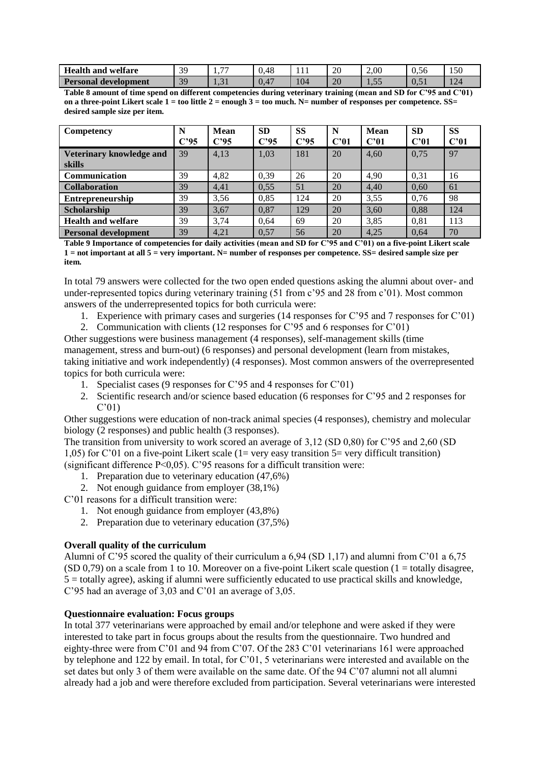| <b>Health</b> and<br>welfare     | 39<br><u>.</u> | $\overline{\phantom{a}}$<br>. | .48<br>v. | .   | 20             | 2,00       | $\sim$<br>$\sqrt{ }$<br>0.56 | 150               |
|----------------------------------|----------------|-------------------------------|-----------|-----|----------------|------------|------------------------------|-------------------|
| <b>Personal</b><br>' development | 30             | $\bigcap$<br>1.J 1            | .47<br>v. | 104 | $\Omega$<br>ZU | 55<br>1.JJ | U.J.                         | $\sqrt{2}$<br>144 |

**Table 8 amount of time spend on different competencies during veterinary training (mean and SD for C'95 and C'01) on a three-point Likert scale 1 = too little 2 = enough 3 = too much. N= number of responses per competence. SS= desired sample size per item.**

| Competency                         | N    | <b>Mean</b> | <b>SD</b> | <b>SS</b>       | N    | <b>Mean</b> | <b>SD</b> | <b>SS</b> |
|------------------------------------|------|-------------|-----------|-----------------|------|-------------|-----------|-----------|
|                                    | C'95 | $C'$ 95     | $C'$ 95   | C <sup>25</sup> | C'01 | C'01        | C'01      | C'01      |
| Veterinary knowledge and<br>skills | 39   | 4,13        | 1,03      | 181             | 20   | 4,60        | 0,75      | 97        |
| Communication                      | 39   | 4,82        | 0,39      | 26              | 20   | 4,90        | 0,31      | 16        |
| <b>Collaboration</b>               | 39   | 4,41        | 0,55      | 51              | 20   | 4,40        | 0,60      | 61        |
| <b>Entrepreneurship</b>            | 39   | 3,56        | 0.85      | 124             | 20   | 3,55        | 0.76      | 98        |
| <b>Scholarship</b>                 | 39   | 3,67        | 0,87      | 129             | 20   | 3.60        | 0,88      | 124       |
| <b>Health and welfare</b>          | 39   | 3,74        | 0.64      | 69              | 20   | 3,85        | 0,81      | 113       |
| <b>Personal development</b>        | 39   | 4.21        | 0.57      | 56              | 20   | 4.25        | 0.64      | 70        |

**Table 9 Importance of competencies for daily activities (mean and SD for C'95 and C'01) on a five-point Likert scale 1 = not important at all 5 = very important. N= number of responses per competence. SS= desired sample size per item.**

In total 79 answers were collected for the two open ended questions asking the alumni about over- and under-represented topics during veterinary training (51 from c'95 and 28 from c'01). Most common answers of the underrepresented topics for both curricula were:

- 1. Experience with primary cases and surgeries (14 responses for C'95 and 7 responses for C'01)
- 2. Communication with clients (12 responses for C'95 and 6 responses for C'01)

Other suggestions were business management (4 responses), self-management skills (time management, stress and burn-out) (6 responses) and personal development (learn from mistakes, taking initiative and work independently) (4 responses). Most common answers of the overrepresented topics for both curricula were:

- 1. Specialist cases (9 responses for C'95 and 4 responses for C'01)
- 2. Scientific research and/or science based education (6 responses for C'95 and 2 responses for C'01)

Other suggestions were education of non-track animal species (4 responses), chemistry and molecular biology (2 responses) and public health (3 responses).

The transition from university to work scored an average of 3,12 (SD 0,80) for C'95 and 2,60 (SD 1,05) for C'01 on a five-point Likert scale (1= very easy transition  $5=$  very difficult transition) (significant difference P<0,05). C'95 reasons for a difficult transition were:

- 1. Preparation due to veterinary education (47,6%)
- 2. Not enough guidance from employer (38,1%)

C'01 reasons for a difficult transition were:

- 1. Not enough guidance from employer (43,8%)
- 2. Preparation due to veterinary education (37,5%)

# **Overall quality of the curriculum**

Alumni of C'95 scored the quality of their curriculum a 6,94 (SD 1,17) and alumni from C'01 a 6,75 (SD 0,79) on a scale from 1 to 10. Moreover on a five-point Likert scale question  $(1 = \text{totally disagree},$ 5 = totally agree), asking if alumni were sufficiently educated to use practical skills and knowledge, C'95 had an average of 3,03 and C'01 an average of 3,05.

## **Questionnaire evaluation: Focus groups**

In total 377 veterinarians were approached by email and/or telephone and were asked if they were interested to take part in focus groups about the results from the questionnaire. Two hundred and eighty-three were from C'01 and 94 from C'07. Of the 283 C'01 veterinarians 161 were approached by telephone and 122 by email. In total, for C'01, 5 veterinarians were interested and available on the set dates but only 3 of them were available on the same date. Of the 94 C'07 alumni not all alumni already had a job and were therefore excluded from participation. Several veterinarians were interested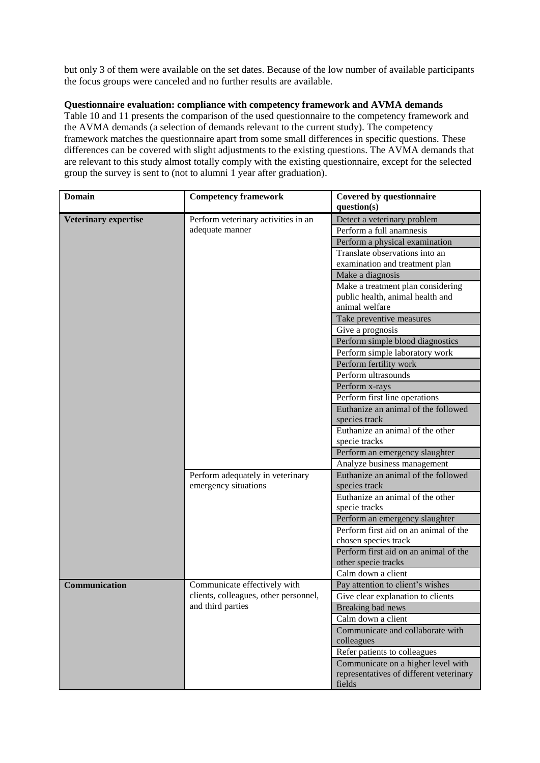but only 3 of them were available on the set dates. Because of the low number of available participants the focus groups were canceled and no further results are available.

# **Questionnaire evaluation: compliance with competency framework and AVMA demands**

Table 10 and 11 presents the comparison of the used questionnaire to the competency framework and the AVMA demands (a selection of demands relevant to the current study). The competency framework matches the questionnaire apart from some small differences in specific questions. These differences can be covered with slight adjustments to the existing questions. The AVMA demands that are relevant to this study almost totally comply with the existing questionnaire, except for the selected group the survey is sent to (not to alumni 1 year after graduation).

| <b>Domain</b>               | <b>Competency framework</b>           | <b>Covered by questionnaire</b>                   |
|-----------------------------|---------------------------------------|---------------------------------------------------|
|                             |                                       | question(s)                                       |
| <b>Veterinary expertise</b> | Perform veterinary activities in an   | Detect a veterinary problem                       |
|                             | adequate manner                       | Perform a full anamnesis                          |
|                             |                                       | Perform a physical examination                    |
|                             |                                       | Translate observations into an                    |
|                             |                                       | examination and treatment plan                    |
|                             |                                       | Make a diagnosis                                  |
|                             |                                       | Make a treatment plan considering                 |
|                             |                                       | public health, animal health and                  |
|                             |                                       | animal welfare                                    |
|                             |                                       | Take preventive measures                          |
|                             |                                       | Give a prognosis                                  |
|                             |                                       | Perform simple blood diagnostics                  |
|                             |                                       | Perform simple laboratory work                    |
|                             |                                       | Perform fertility work                            |
|                             |                                       | Perform ultrasounds                               |
|                             |                                       | Perform x-rays                                    |
|                             |                                       | Perform first line operations                     |
|                             |                                       | Euthanize an animal of the followed               |
|                             |                                       | species track                                     |
|                             |                                       | Euthanize an animal of the other                  |
|                             |                                       | specie tracks                                     |
|                             |                                       | Perform an emergency slaughter                    |
|                             |                                       | Analyze business management                       |
|                             | Perform adequately in veterinary      | Euthanize an animal of the followed               |
|                             | emergency situations                  | species track                                     |
|                             |                                       | Euthanize an animal of the other                  |
|                             |                                       | specie tracks                                     |
|                             |                                       | Perform an emergency slaughter                    |
|                             |                                       | Perform first aid on an animal of the             |
|                             |                                       | chosen species track                              |
|                             |                                       | Perform first aid on an animal of the             |
|                             |                                       | other specie tracks                               |
|                             |                                       | Calm down a client                                |
| Communication               | Communicate effectively with          | Pay attention to client's wishes                  |
|                             | clients, colleagues, other personnel, | Give clear explanation to clients                 |
|                             | and third parties                     | Breaking bad news                                 |
|                             |                                       | Calm down a client                                |
|                             |                                       | Communicate and collaborate with                  |
|                             |                                       | colleagues                                        |
|                             |                                       | Refer patients to colleagues                      |
|                             |                                       | Communicate on a higher level with                |
|                             |                                       | representatives of different veterinary<br>fields |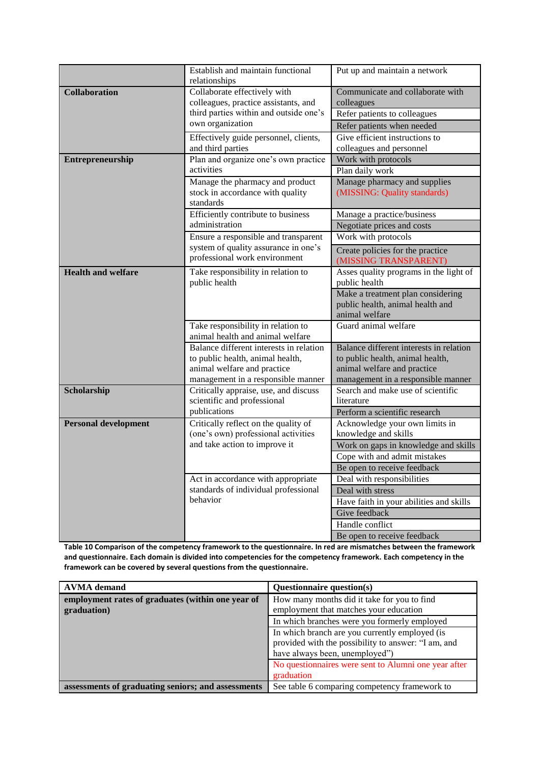|                                                                                  | Establish and maintain functional<br>relationships                                                                                               | Put up and maintain a network                                                                                                                    |
|----------------------------------------------------------------------------------|--------------------------------------------------------------------------------------------------------------------------------------------------|--------------------------------------------------------------------------------------------------------------------------------------------------|
| <b>Collaboration</b>                                                             | Collaborate effectively with<br>colleagues, practice assistants, and<br>third parties within and outside one's<br>own organization               | Communicate and collaborate with<br>colleagues<br>Refer patients to colleagues<br>Refer patients when needed<br>Give efficient instructions to   |
|                                                                                  | Effectively guide personnel, clients,<br>and third parties                                                                                       | colleagues and personnel                                                                                                                         |
| Entrepreneurship                                                                 | Plan and organize one's own practice<br>activities                                                                                               | Work with protocols                                                                                                                              |
| Manage the pharmacy and product<br>stock in accordance with quality<br>standards |                                                                                                                                                  | Plan daily work<br>Manage pharmacy and supplies<br>(MISSING: Quality standards)                                                                  |
|                                                                                  | Efficiently contribute to business                                                                                                               | Manage a practice/business                                                                                                                       |
|                                                                                  | administration                                                                                                                                   | Negotiate prices and costs                                                                                                                       |
|                                                                                  | Ensure a responsible and transparent<br>system of quality assurance in one's                                                                     | Work with protocols                                                                                                                              |
|                                                                                  | professional work environment                                                                                                                    | Create policies for the practice<br>(MISSING TRANSPARENT)                                                                                        |
| <b>Health and welfare</b><br>Take responsibility in relation to<br>public health |                                                                                                                                                  | Asses quality programs in the light of<br>public health                                                                                          |
|                                                                                  |                                                                                                                                                  | Make a treatment plan considering<br>public health, animal health and<br>animal welfare                                                          |
|                                                                                  | Take responsibility in relation to<br>animal health and animal welfare                                                                           | Guard animal welfare                                                                                                                             |
|                                                                                  | Balance different interests in relation<br>to public health, animal health,<br>animal welfare and practice<br>management in a responsible manner | Balance different interests in relation<br>to public health, animal health,<br>animal welfare and practice<br>management in a responsible manner |
| Scholarship                                                                      | Critically appraise, use, and discuss<br>scientific and professional                                                                             | Search and make use of scientific<br>literature                                                                                                  |
|                                                                                  | publications                                                                                                                                     | Perform a scientific research                                                                                                                    |
| <b>Personal development</b>                                                      | Critically reflect on the quality of                                                                                                             | Acknowledge your own limits in<br>knowledge and skills                                                                                           |
|                                                                                  | (one's own) professional activities<br>and take action to improve it                                                                             | Work on gaps in knowledge and skills                                                                                                             |
|                                                                                  |                                                                                                                                                  | Cope with and admit mistakes                                                                                                                     |
|                                                                                  |                                                                                                                                                  | Be open to receive feedback                                                                                                                      |
|                                                                                  | Act in accordance with appropriate                                                                                                               | Deal with responsibilities                                                                                                                       |
|                                                                                  | standards of individual professional                                                                                                             | Deal with stress                                                                                                                                 |
| behavior                                                                         |                                                                                                                                                  | Have faith in your abilities and skills                                                                                                          |
|                                                                                  |                                                                                                                                                  | Give feedback                                                                                                                                    |
|                                                                                  |                                                                                                                                                  | Handle conflict<br>Be open to receive feedback                                                                                                   |
|                                                                                  |                                                                                                                                                  |                                                                                                                                                  |

**Table 10 Comparison of the competency framework to the questionnaire. In red are mismatches between the framework and questionnaire. Each domain is divided into competencies for the competency framework. Each competency in the framework can be covered by several questions from the questionnaire.**

| <b>AVMA</b> demand                                 | Questionnaire question(s)                            |
|----------------------------------------------------|------------------------------------------------------|
| employment rates of graduates (within one year of  | How many months did it take for you to find          |
| graduation)                                        | employment that matches your education               |
|                                                    | In which branches were you formerly employed         |
|                                                    | In which branch are you currently employed (is       |
|                                                    | provided with the possibility to answer: "I am, and  |
|                                                    | have always been, unemployed")                       |
|                                                    | No questionnaires were sent to Alumni one year after |
|                                                    | graduation                                           |
| assessments of graduating seniors; and assessments | See table 6 comparing competency framework to        |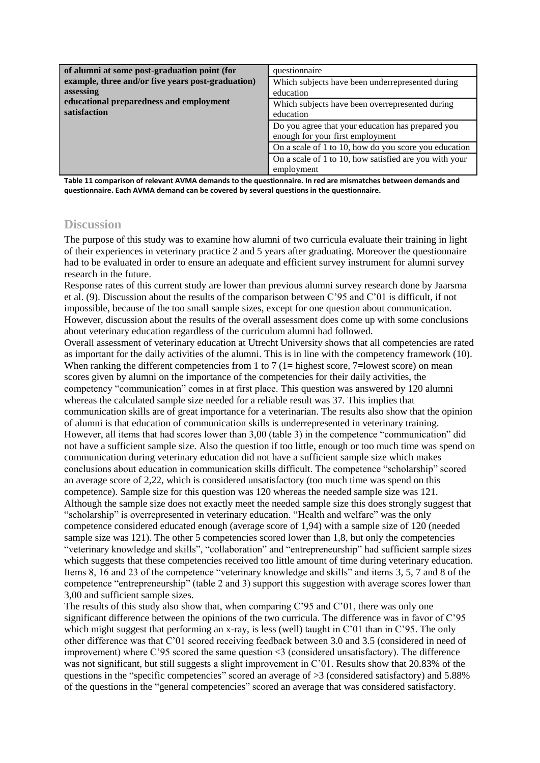| of alumni at some post-graduation point (for      | questionnaire                                          |
|---------------------------------------------------|--------------------------------------------------------|
| example, three and/or five years post-graduation) | Which subjects have been underrepresented during       |
| assessing                                         | education                                              |
| educational preparedness and employment           | Which subjects have been overrepresented during        |
| satisfaction                                      | education                                              |
|                                                   | Do you agree that your education has prepared you      |
|                                                   | enough for your first employment                       |
|                                                   | On a scale of 1 to 10, how do you score you education  |
|                                                   | On a scale of 1 to 10, how satisfied are you with your |
|                                                   | employment                                             |

**Table 11 comparison of relevant AVMA demands to the questionnaire. In red are mismatches between demands and questionnaire. Each AVMA demand can be covered by several questions in the questionnaire.**

# **Discussion**

The purpose of this study was to examine how alumni of two curricula evaluate their training in light of their experiences in veterinary practice 2 and 5 years after graduating. Moreover the questionnaire had to be evaluated in order to ensure an adequate and efficient survey instrument for alumni survey research in the future.

Response rates of this current study are lower than previous alumni survey research done by Jaarsma et al. (9). Discussion about the results of the comparison between C'95 and C'01 is difficult, if not impossible, because of the too small sample sizes, except for one question about communication. However, discussion about the results of the overall assessment does come up with some conclusions about veterinary education regardless of the curriculum alumni had followed.

Overall assessment of veterinary education at Utrecht University shows that all competencies are rated as important for the daily activities of the alumni. This is in line with the competency framework (10). When ranking the different competencies from 1 to 7 (1 = highest score, 7 = lowest score) on mean scores given by alumni on the importance of the competencies for their daily activities, the competency "communication" comes in at first place. This question was answered by 120 alumni whereas the calculated sample size needed for a reliable result was 37. This implies that communication skills are of great importance for a veterinarian. The results also show that the opinion of alumni is that education of communication skills is underrepresented in veterinary training. However, all items that had scores lower than 3,00 (table 3) in the competence "communication" did not have a sufficient sample size. Also the question if too little, enough or too much time was spend on communication during veterinary education did not have a sufficient sample size which makes conclusions about education in communication skills difficult. The competence "scholarship" scored an average score of 2,22, which is considered unsatisfactory (too much time was spend on this competence). Sample size for this question was 120 whereas the needed sample size was 121. Although the sample size does not exactly meet the needed sample size this does strongly suggest that "scholarship" is overrepresented in veterinary education. "Health and welfare" was the only competence considered educated enough (average score of 1,94) with a sample size of 120 (needed sample size was 121). The other 5 competencies scored lower than 1,8, but only the competencies "veterinary knowledge and skills", "collaboration" and "entrepreneurship" had sufficient sample sizes which suggests that these competencies received too little amount of time during veterinary education. Items 8, 16 and 23 of the competence "veterinary knowledge and skills" and items 3, 5, 7 and 8 of the competence "entrepreneurship" (table 2 and 3) support this suggestion with average scores lower than 3,00 and sufficient sample sizes.

The results of this study also show that, when comparing C'95 and C'01, there was only one significant difference between the opinions of the two curricula. The difference was in favor of C'95 which might suggest that performing an x-ray, is less (well) taught in C'01 than in C'95. The only other difference was that C'01 scored receiving feedback between 3.0 and 3.5 (considered in need of improvement) where C'95 scored the same question  $\leq$ 3 (considered unsatisfactory). The difference was not significant, but still suggests a slight improvement in C'01. Results show that 20.83% of the questions in the "specific competencies" scored an average of >3 (considered satisfactory) and 5.88% of the questions in the "general competencies" scored an average that was considered satisfactory.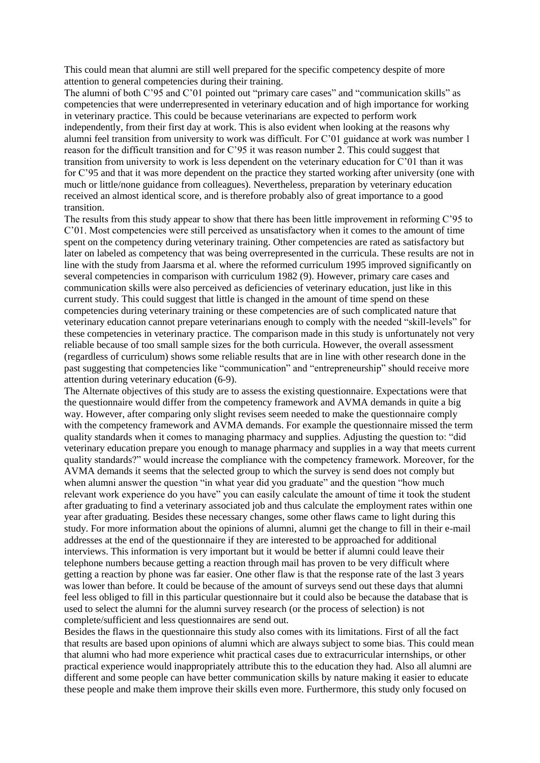This could mean that alumni are still well prepared for the specific competency despite of more attention to general competencies during their training.

The alumni of both C'95 and C'01 pointed out "primary care cases" and "communication skills" as competencies that were underrepresented in veterinary education and of high importance for working in veterinary practice. This could be because veterinarians are expected to perform work independently, from their first day at work. This is also evident when looking at the reasons why alumni feel transition from university to work was difficult. For C'01 guidance at work was number 1 reason for the difficult transition and for C'95 it was reason number 2. This could suggest that transition from university to work is less dependent on the veterinary education for C'01 than it was for C'95 and that it was more dependent on the practice they started working after university (one with much or little/none guidance from colleagues). Nevertheless, preparation by veterinary education received an almost identical score, and is therefore probably also of great importance to a good transition.

The results from this study appear to show that there has been little improvement in reforming C'95 to C'01. Most competencies were still perceived as unsatisfactory when it comes to the amount of time spent on the competency during veterinary training. Other competencies are rated as satisfactory but later on labeled as competency that was being overrepresented in the curricula. These results are not in line with the study from Jaarsma et al. where the reformed curriculum 1995 improved significantly on several competencies in comparison with curriculum 1982 (9). However, primary care cases and communication skills were also perceived as deficiencies of veterinary education, just like in this current study. This could suggest that little is changed in the amount of time spend on these competencies during veterinary training or these competencies are of such complicated nature that veterinary education cannot prepare veterinarians enough to comply with the needed "skill-levels" for these competencies in veterinary practice. The comparison made in this study is unfortunately not very reliable because of too small sample sizes for the both curricula. However, the overall assessment (regardless of curriculum) shows some reliable results that are in line with other research done in the past suggesting that competencies like "communication" and "entrepreneurship" should receive more attention during veterinary education (6-9).

The Alternate objectives of this study are to assess the existing questionnaire. Expectations were that the questionnaire would differ from the competency framework and AVMA demands in quite a big way. However, after comparing only slight revises seem needed to make the questionnaire comply with the competency framework and AVMA demands. For example the questionnaire missed the term quality standards when it comes to managing pharmacy and supplies. Adjusting the question to: "did veterinary education prepare you enough to manage pharmacy and supplies in a way that meets current quality standards?" would increase the compliance with the competency framework. Moreover, for the AVMA demands it seems that the selected group to which the survey is send does not comply but when alumni answer the question "in what year did you graduate" and the question "how much relevant work experience do you have" you can easily calculate the amount of time it took the student after graduating to find a veterinary associated job and thus calculate the employment rates within one year after graduating. Besides these necessary changes, some other flaws came to light during this study. For more information about the opinions of alumni, alumni get the change to fill in their e-mail addresses at the end of the questionnaire if they are interested to be approached for additional interviews. This information is very important but it would be better if alumni could leave their telephone numbers because getting a reaction through mail has proven to be very difficult where getting a reaction by phone was far easier. One other flaw is that the response rate of the last 3 years was lower than before. It could be because of the amount of surveys send out these days that alumni feel less obliged to fill in this particular questionnaire but it could also be because the database that is used to select the alumni for the alumni survey research (or the process of selection) is not complete/sufficient and less questionnaires are send out.

Besides the flaws in the questionnaire this study also comes with its limitations. First of all the fact that results are based upon opinions of alumni which are always subject to some bias. This could mean that alumni who had more experience whit practical cases due to extracurricular internships, or other practical experience would inappropriately attribute this to the education they had. Also all alumni are different and some people can have better communication skills by nature making it easier to educate these people and make them improve their skills even more. Furthermore, this study only focused on